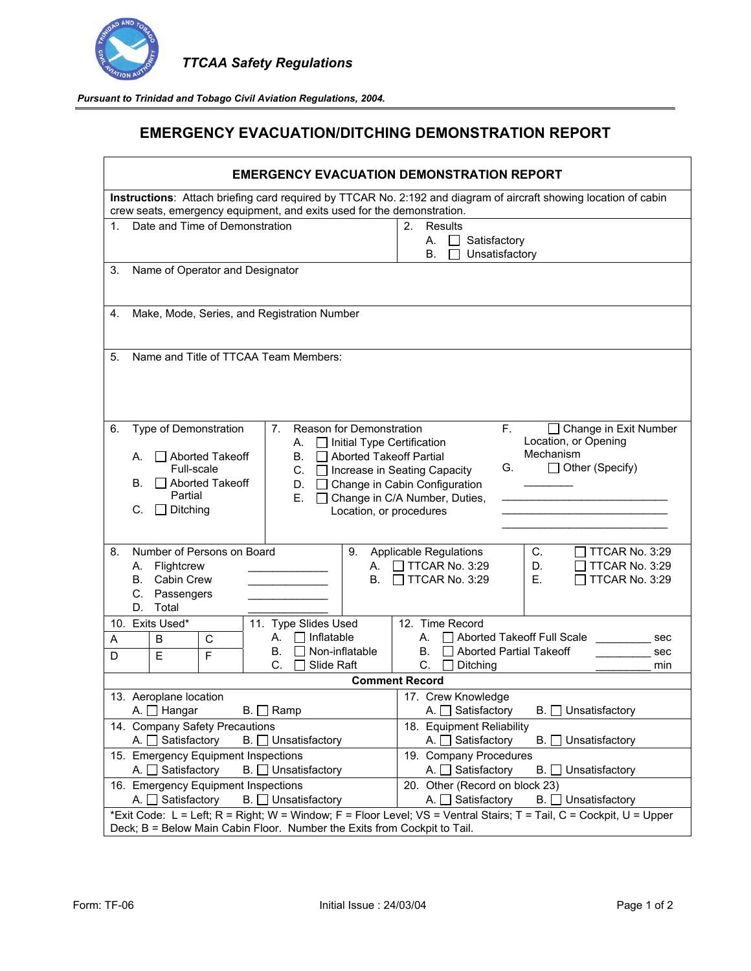

 *TTCAA Safety Regulations* 

*Pursuant to Trinidad and Tobago Civil Aviation Regulations, 2004.* 

## **EMERGENCY EVACUATION/DITCHING DEMONSTRATION REPORT**

| <b>EMERGENCY EVACUATION DEMONSTRATION REPORT</b>                                                                                                                                                                                                                                                                                 |                                                                                                                                                                                   |  |  |  |
|----------------------------------------------------------------------------------------------------------------------------------------------------------------------------------------------------------------------------------------------------------------------------------------------------------------------------------|-----------------------------------------------------------------------------------------------------------------------------------------------------------------------------------|--|--|--|
| Instructions: Attach briefing card required by TTCAR No. 2:192 and diagram of aircraft showing location of cabin<br>crew seats, emergency equipment, and exits used for the demonstration.                                                                                                                                       |                                                                                                                                                                                   |  |  |  |
| Date and Time of Demonstration                                                                                                                                                                                                                                                                                                   | <b>Results</b><br>2 <sub>1</sub><br>$\mathcal{L}$<br>Satisfactory<br>А.<br>Unsatisfactory<br>В.                                                                                   |  |  |  |
| Name of Operator and Designator<br>3.                                                                                                                                                                                                                                                                                            |                                                                                                                                                                                   |  |  |  |
| Make, Mode, Series, and Registration Number<br>4.                                                                                                                                                                                                                                                                                |                                                                                                                                                                                   |  |  |  |
| Name and Title of TTCAA Team Members:<br>5.                                                                                                                                                                                                                                                                                      |                                                                                                                                                                                   |  |  |  |
| Type of Demonstration<br>7.<br>Reason for Demonstration<br>6.<br>$\Box$ Initial Type Certification<br>А.<br>Aborted Takeoff Partial<br>$\Box$ Aborted Takeoff<br>В.<br>А.<br>Full-scale<br>C. □ Increase in Seating Capacity<br>$\Box$ Aborted Takeoff<br>В.<br>D.<br>Partial<br>Е.<br>Ditching<br>C.<br>Location, or procedures | F.<br>□ Change in Exit Number<br>Location, or Opening<br>Mechanism<br>$\Box$ Other (Specify)<br>G.<br>□ Change in Cabin Configuration<br>□ Change in C/A Number, Duties,          |  |  |  |
| Number of Persons on Board<br>8.<br>9.<br>Flightcrew<br>А.<br>А.<br>Cabin Crew<br>В.<br>В.<br>C.<br>Passengers<br>D.<br>Total<br>10. Exits Used*                                                                                                                                                                                 | TTCAR No. 3:29<br><b>Applicable Regulations</b><br>C.<br>$\Box$ TTCAR No. 3:29<br>TTCAR No. 3:29<br>D.<br>$\Box$ TTCAR No. 3:29<br>Е.<br>$\Box$ TTCAR No. 3:29<br>12. Time Record |  |  |  |
| 11. Type Slides Used<br>$\Box$ Inflatable<br>А.<br>B<br>C<br>A<br>Non-inflatable<br>В.<br>$\mathsf{F}$<br>E<br>D<br>C.<br>Slide Raft                                                                                                                                                                                             | Aborted Takeoff Full Scale<br>А.<br>sec<br><b>Aborted Partial Takeoff</b><br>В.<br>sec<br>C.<br>Ditching<br>min                                                                   |  |  |  |
| <b>Comment Record</b>                                                                                                                                                                                                                                                                                                            |                                                                                                                                                                                   |  |  |  |
| 13. Aeroplane location<br>B. □ Ramp<br>A. □ Hangar                                                                                                                                                                                                                                                                               | 17. Crew Knowledge<br><b>B.</b> □ Unsatisfactory<br>A. □ Satisfactory                                                                                                             |  |  |  |
| 14. Company Safety Precautions                                                                                                                                                                                                                                                                                                   | 18. Equipment Reliability                                                                                                                                                         |  |  |  |
| A. □ Satisfactory<br>$B.$ Unsatisfactory                                                                                                                                                                                                                                                                                         | A. $\Box$ Satisfactory<br>B.<br>Unsatisfactory                                                                                                                                    |  |  |  |
| 15. Emergency Equipment Inspections                                                                                                                                                                                                                                                                                              | 19. Company Procedures                                                                                                                                                            |  |  |  |
| A. $\Box$ Satisfactory<br>$B.$ Unsatisfactory                                                                                                                                                                                                                                                                                    | Satisfactory<br>Unsatisfactory<br>B. I<br>A. I I                                                                                                                                  |  |  |  |
| 16. Emergency Equipment Inspections<br>A. □ Satisfactory<br>$B.$ Unsatisfactory                                                                                                                                                                                                                                                  | 20. Other (Record on block 23)<br>Satisfactory<br>$B.$ Unsatisfactory<br>A. I                                                                                                     |  |  |  |
| *Exit Code: L = Left; R = Right; W = Window; F = Floor Level; VS = Ventral Stairs; T = Tail, C = Cockpit, U = Upper                                                                                                                                                                                                              |                                                                                                                                                                                   |  |  |  |
| Deck; B = Below Main Cabin Floor. Number the Exits from Cockpit to Tail.                                                                                                                                                                                                                                                         |                                                                                                                                                                                   |  |  |  |